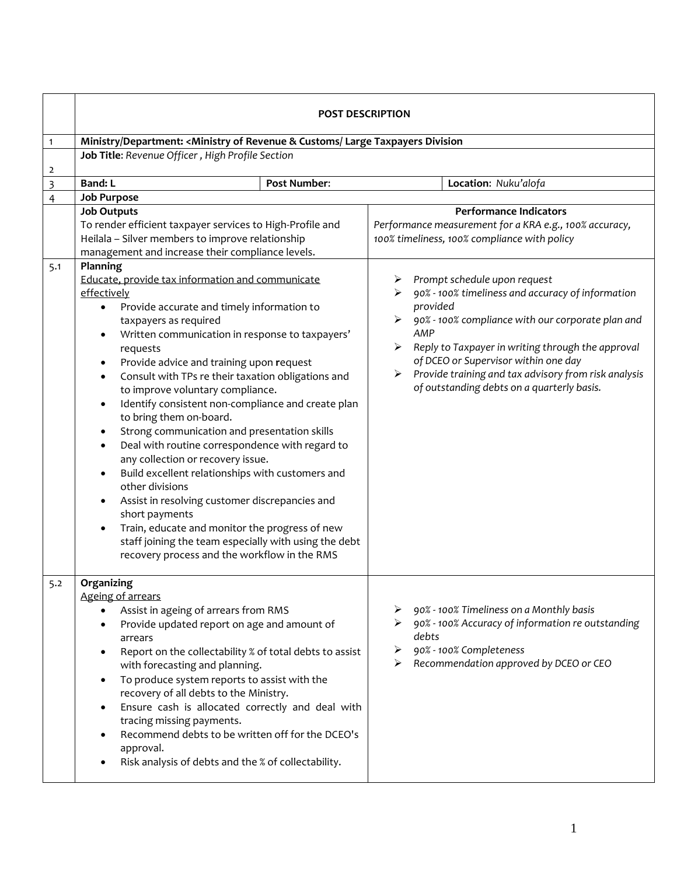|                | <b>POST DESCRIPTION</b>                                                                                                                                                                                                                                                                                                                                                                                                                                                                                                                                                                                                                                                                                                                                                                                                                                                                                                                                                                                                                                 |                     |                                                                                                        |                                                                                                                                                                                                                                                                                                                                                              |                                                                                                                                                                    |
|----------------|---------------------------------------------------------------------------------------------------------------------------------------------------------------------------------------------------------------------------------------------------------------------------------------------------------------------------------------------------------------------------------------------------------------------------------------------------------------------------------------------------------------------------------------------------------------------------------------------------------------------------------------------------------------------------------------------------------------------------------------------------------------------------------------------------------------------------------------------------------------------------------------------------------------------------------------------------------------------------------------------------------------------------------------------------------|---------------------|--------------------------------------------------------------------------------------------------------|--------------------------------------------------------------------------------------------------------------------------------------------------------------------------------------------------------------------------------------------------------------------------------------------------------------------------------------------------------------|--------------------------------------------------------------------------------------------------------------------------------------------------------------------|
| $\mathbf{1}$   | Ministry/Department: < Ministry of Revenue & Customs/ Large Taxpayers Division                                                                                                                                                                                                                                                                                                                                                                                                                                                                                                                                                                                                                                                                                                                                                                                                                                                                                                                                                                          |                     |                                                                                                        |                                                                                                                                                                                                                                                                                                                                                              |                                                                                                                                                                    |
|                | Job Title: Revenue Officer, High Profile Section                                                                                                                                                                                                                                                                                                                                                                                                                                                                                                                                                                                                                                                                                                                                                                                                                                                                                                                                                                                                        |                     |                                                                                                        |                                                                                                                                                                                                                                                                                                                                                              |                                                                                                                                                                    |
| 2              |                                                                                                                                                                                                                                                                                                                                                                                                                                                                                                                                                                                                                                                                                                                                                                                                                                                                                                                                                                                                                                                         |                     |                                                                                                        |                                                                                                                                                                                                                                                                                                                                                              |                                                                                                                                                                    |
| 3              | <b>Band: L</b>                                                                                                                                                                                                                                                                                                                                                                                                                                                                                                                                                                                                                                                                                                                                                                                                                                                                                                                                                                                                                                          | <b>Post Number:</b> |                                                                                                        |                                                                                                                                                                                                                                                                                                                                                              | Location: Nuku'alofa                                                                                                                                               |
| $\overline{4}$ | <b>Job Purpose</b>                                                                                                                                                                                                                                                                                                                                                                                                                                                                                                                                                                                                                                                                                                                                                                                                                                                                                                                                                                                                                                      |                     |                                                                                                        |                                                                                                                                                                                                                                                                                                                                                              | <b>Performance Indicators</b>                                                                                                                                      |
|                | <b>Job Outputs</b><br>To render efficient taxpayer services to High-Profile and<br>Heilala - Silver members to improve relationship                                                                                                                                                                                                                                                                                                                                                                                                                                                                                                                                                                                                                                                                                                                                                                                                                                                                                                                     |                     | Performance measurement for a KRA e.g., 100% accuracy,<br>100% timeliness, 100% compliance with policy |                                                                                                                                                                                                                                                                                                                                                              |                                                                                                                                                                    |
| 5.1            | management and increase their compliance levels.<br>Planning<br>Educate, provide tax information and communicate<br>effectively<br>Provide accurate and timely information to<br>٠<br>taxpayers as required<br>Written communication in response to taxpayers'<br>$\bullet$<br>requests<br>Provide advice and training upon request<br>$\bullet$<br>Consult with TPs re their taxation obligations and<br>$\bullet$<br>to improve voluntary compliance.<br>Identify consistent non-compliance and create plan<br>$\bullet$<br>to bring them on-board.<br>Strong communication and presentation skills<br>$\bullet$<br>Deal with routine correspondence with regard to<br>$\bullet$<br>any collection or recovery issue.<br>Build excellent relationships with customers and<br>$\bullet$<br>other divisions<br>Assist in resolving customer discrepancies and<br>$\bullet$<br>short payments<br>Train, educate and monitor the progress of new<br>staff joining the team especially with using the debt<br>recovery process and the workflow in the RMS |                     | ➤<br>➤                                                                                                 | Prompt schedule upon request<br>90% - 100% timeliness and accuracy of information<br>provided<br>90% - 100% compliance with our corporate plan and<br>AMP<br>Reply to Taxpayer in writing through the approval<br>of DCEO or Supervisor within one day<br>Provide training and tax advisory from risk analysis<br>of outstanding debts on a quarterly basis. |                                                                                                                                                                    |
| 5.2            | Organizing<br>Ageing of arrears<br>Assist in ageing of arrears from RMS<br>Provide updated report on age and amount of<br>arrears<br>Report on the collectability % of total debts to assist<br>$\bullet$                                                                                                                                                                                                                                                                                                                                                                                                                                                                                                                                                                                                                                                                                                                                                                                                                                               |                     | ➤                                                                                                      | debts                                                                                                                                                                                                                                                                                                                                                        | 90% - 100% Timeliness on a Monthly basis<br>90% - 100% Accuracy of information re outstanding<br>90% - 100% Completeness<br>Recommendation approved by DCEO or CEO |
|                | with forecasting and planning.<br>To produce system reports to assist with the<br>$\bullet$<br>recovery of all debts to the Ministry.<br>Ensure cash is allocated correctly and deal with<br>$\bullet$<br>tracing missing payments.<br>Recommend debts to be written off for the DCEO's<br>approval.<br>Risk analysis of debts and the % of collectability.                                                                                                                                                                                                                                                                                                                                                                                                                                                                                                                                                                                                                                                                                             |                     |                                                                                                        |                                                                                                                                                                                                                                                                                                                                                              |                                                                                                                                                                    |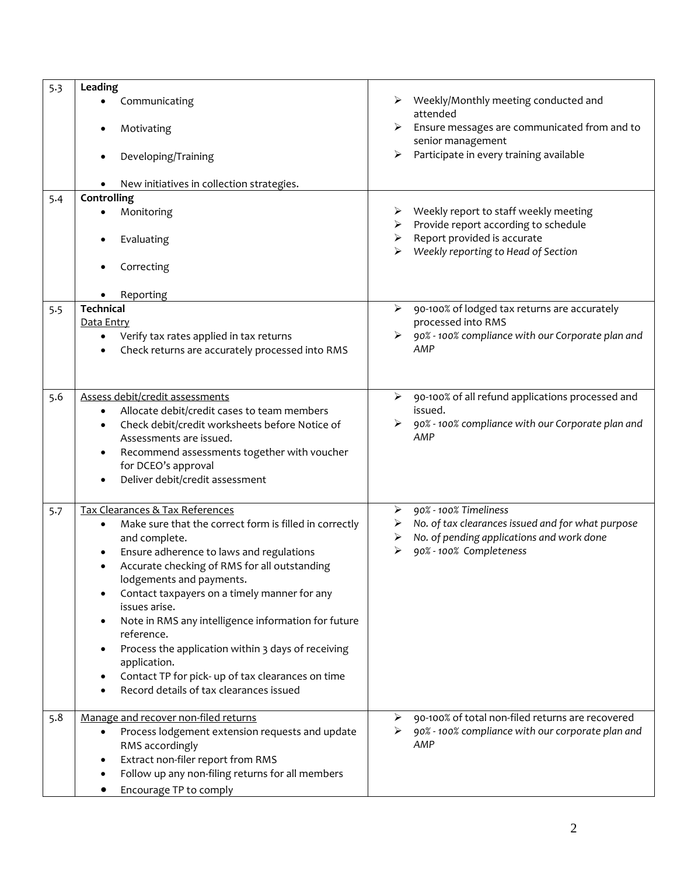| 5.3 | Leading                                                                                |                                                                               |
|-----|----------------------------------------------------------------------------------------|-------------------------------------------------------------------------------|
|     | Communicating                                                                          | Weekly/Monthly meeting conducted and<br>attended                              |
|     | Motivating                                                                             | Ensure messages are communicated from and to<br>➤<br>senior management        |
|     | Developing/Training                                                                    | Participate in every training available<br>➤                                  |
|     | New initiatives in collection strategies.                                              |                                                                               |
| 5.4 | Controlling                                                                            |                                                                               |
|     | Monitoring                                                                             | Weekly report to staff weekly meeting<br>Provide report according to schedule |
|     | Evaluating                                                                             | Report provided is accurate<br>➤<br>Weekly reporting to Head of Section       |
|     | Correcting                                                                             |                                                                               |
|     | Reporting                                                                              |                                                                               |
| 5.5 | <b>Technical</b>                                                                       | $\blacktriangleright$<br>90-100% of lodged tax returns are accurately         |
|     | Data Entry                                                                             | processed into RMS                                                            |
|     | Verify tax rates applied in tax returns                                                | 90% - 100% compliance with our Corporate plan and                             |
|     | Check returns are accurately processed into RMS                                        | AMP                                                                           |
|     |                                                                                        |                                                                               |
|     |                                                                                        |                                                                               |
| 5.6 | Assess debit/credit assessments                                                        | 90-100% of all refund applications processed and<br>➤                         |
|     | Allocate debit/credit cases to team members<br>$\bullet$                               | issued.                                                                       |
|     | Check debit/credit worksheets before Notice of<br>$\bullet$<br>Assessments are issued. | 90% - 100% compliance with our Corporate plan and<br>AMP                      |
|     |                                                                                        |                                                                               |
|     | Recommend assessments together with voucher<br>$\bullet$<br>for DCEO's approval        |                                                                               |
|     | Deliver debit/credit assessment<br>$\bullet$                                           |                                                                               |
|     |                                                                                        |                                                                               |
| 5.7 | Tax Clearances & Tax References                                                        | 90% - 100% Timeliness<br>➤                                                    |
|     | Make sure that the correct form is filled in correctly<br>$\bullet$                    | No. of tax clearances issued and for what purpose<br>➤                        |
|     | and complete.                                                                          | No. of pending applications and work done<br>➤                                |
|     | Ensure adherence to laws and regulations<br>$\bullet$                                  | 90% - 100% Completeness<br>⋗                                                  |
|     | Accurate checking of RMS for all outstanding<br>$\bullet$                              |                                                                               |
|     | lodgements and payments.                                                               |                                                                               |
|     | Contact taxpayers on a timely manner for any<br>$\bullet$                              |                                                                               |
|     | issues arise.                                                                          |                                                                               |
|     | Note in RMS any intelligence information for future<br>$\bullet$                       |                                                                               |
|     | reference.                                                                             |                                                                               |
|     | Process the application within 3 days of receiving<br>$\bullet$                        |                                                                               |
|     | application.                                                                           |                                                                               |
|     | Contact TP for pick- up of tax clearances on time<br>$\bullet$                         |                                                                               |
|     | Record details of tax clearances issued                                                |                                                                               |
| 5.8 | Manage and recover non-filed returns                                                   | 90-100% of total non-filed returns are recovered<br>➤                         |
|     | Process lodgement extension requests and update<br>$\bullet$                           | 90% - 100% compliance with our corporate plan and<br>⋗                        |
|     | RMS accordingly                                                                        | AMP                                                                           |
|     | Extract non-filer report from RMS<br>$\bullet$                                         |                                                                               |
|     | Follow up any non-filing returns for all members<br>$\bullet$                          |                                                                               |
|     | Encourage TP to comply                                                                 |                                                                               |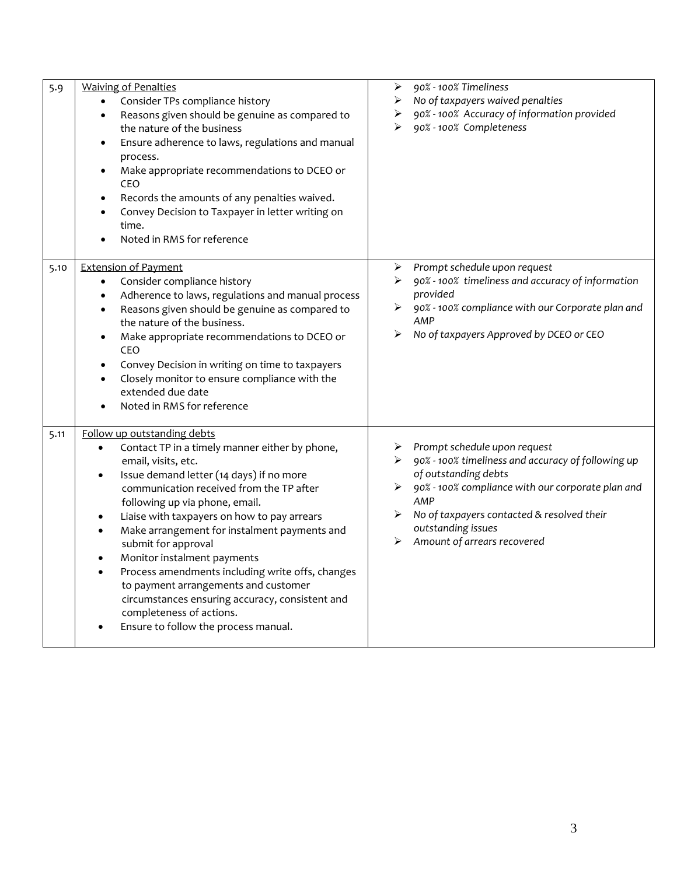| 5.9  | <b>Waiving of Penalties</b><br>Consider TPs compliance history<br>Reasons given should be genuine as compared to<br>$\bullet$<br>the nature of the business<br>Ensure adherence to laws, regulations and manual<br>$\bullet$<br>process.<br>Make appropriate recommendations to DCEO or<br>$\bullet$<br>CEO<br>Records the amounts of any penalties waived.<br>$\bullet$<br>Convey Decision to Taxpayer in letter writing on<br>$\bullet$<br>time.<br>Noted in RMS for reference                                                                                                                                                                                                     | 90% - 100% Timeliness<br>➤<br>No of taxpayers waived penalties<br>➤<br>90% - 100% Accuracy of information provided<br>➤<br>90% - 100% Completeness<br>➤                                                                                                                               |
|------|--------------------------------------------------------------------------------------------------------------------------------------------------------------------------------------------------------------------------------------------------------------------------------------------------------------------------------------------------------------------------------------------------------------------------------------------------------------------------------------------------------------------------------------------------------------------------------------------------------------------------------------------------------------------------------------|---------------------------------------------------------------------------------------------------------------------------------------------------------------------------------------------------------------------------------------------------------------------------------------|
| 5.10 | <b>Extension of Payment</b><br>Consider compliance history<br>$\bullet$<br>Adherence to laws, regulations and manual process<br>$\bullet$<br>Reasons given should be genuine as compared to<br>$\bullet$<br>the nature of the business.<br>Make appropriate recommendations to DCEO or<br>$\bullet$<br>CEO<br>Convey Decision in writing on time to taxpayers<br>$\bullet$<br>Closely monitor to ensure compliance with the<br>$\bullet$<br>extended due date<br>Noted in RMS for reference<br>$\bullet$                                                                                                                                                                             | Prompt schedule upon request<br>➤<br>90% - 100% timeliness and accuracy of information<br>➤<br>provided<br>90% - 100% compliance with our Corporate plan and<br>AMP<br>No of taxpayers Approved by DCEO or CEO<br>➤                                                                   |
| 5.11 | Follow up outstanding debts<br>Contact TP in a timely manner either by phone,<br>$\bullet$<br>email, visits, etc.<br>Issue demand letter (14 days) if no more<br>$\bullet$<br>communication received from the TP after<br>following up via phone, email.<br>Liaise with taxpayers on how to pay arrears<br>$\bullet$<br>Make arrangement for instalment payments and<br>$\bullet$<br>submit for approval<br>Monitor instalment payments<br>$\bullet$<br>Process amendments including write offs, changes<br>$\bullet$<br>to payment arrangements and customer<br>circumstances ensuring accuracy, consistent and<br>completeness of actions.<br>Ensure to follow the process manual. | Prompt schedule upon request<br>➤<br>▶ 90% - 100% timeliness and accuracy of following up<br>of outstanding debts<br>90% - 100% compliance with our corporate plan and<br>AMP<br>No of taxpayers contacted & resolved their<br>➤<br>outstanding issues<br>Amount of arrears recovered |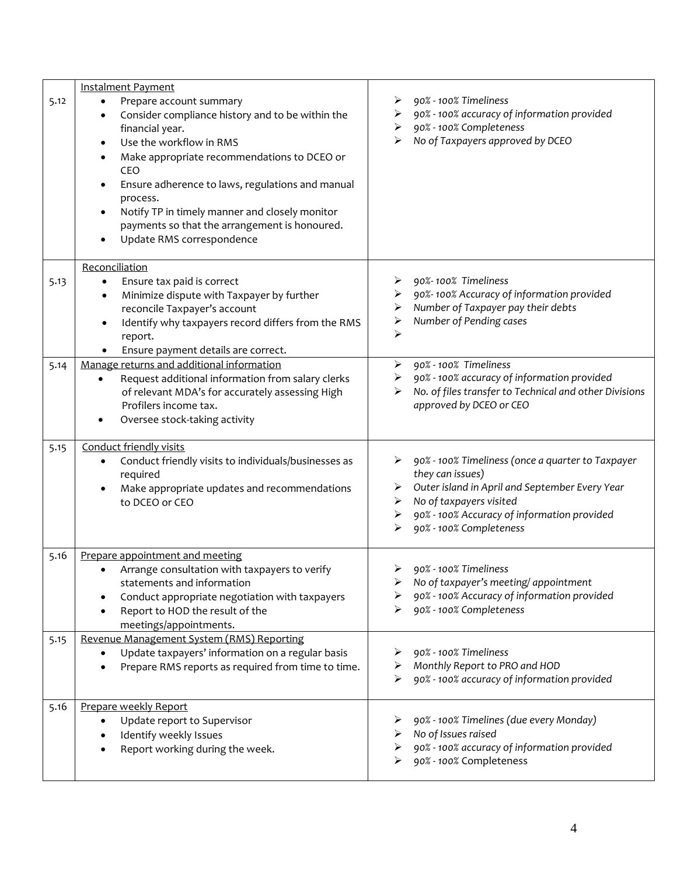|      | <b>Instalment Payment</b>                                                                                                                                                                                                                                                                                                                                                                                                                        |                                                                                                                                                                                                                                                  |
|------|--------------------------------------------------------------------------------------------------------------------------------------------------------------------------------------------------------------------------------------------------------------------------------------------------------------------------------------------------------------------------------------------------------------------------------------------------|--------------------------------------------------------------------------------------------------------------------------------------------------------------------------------------------------------------------------------------------------|
| 5.12 | Prepare account summary<br>$\bullet$<br>Consider compliance history and to be within the<br>financial year.<br>Use the workflow in RMS<br>$\bullet$<br>Make appropriate recommendations to DCEO or<br>$\bullet$<br>CEO<br>Ensure adherence to laws, regulations and manual<br>$\bullet$<br>process.<br>Notify TP in timely manner and closely monitor<br>$\bullet$<br>payments so that the arrangement is honoured.<br>Update RMS correspondence | 90% - 100% Timeliness<br>90% - 100% accuracy of information provided<br>➤<br>90% - 100% Completeness<br>➤<br>No of Taxpayers approved by DCEO<br>➤                                                                                               |
|      | Reconciliation                                                                                                                                                                                                                                                                                                                                                                                                                                   |                                                                                                                                                                                                                                                  |
| 5.13 | Ensure tax paid is correct<br>$\bullet$<br>Minimize dispute with Taxpayer by further<br>$\bullet$<br>reconcile Taxpayer's account<br>Identify why taxpayers record differs from the RMS<br>$\bullet$<br>report.<br>Ensure payment details are correct.                                                                                                                                                                                           | 90%-100% Timeliness<br>➤<br>90%-100% Accuracy of information provided<br>➤<br>Number of Taxpayer pay their debts<br>➤<br>Number of Pending cases<br>➤<br>⋗                                                                                       |
| 5.14 | Manage returns and additional information<br>Request additional information from salary clerks<br>of relevant MDA's for accurately assessing High<br>Profilers income tax.<br>Oversee stock-taking activity                                                                                                                                                                                                                                      | 90% - 100% Timeliness<br>➤<br>90% - 100% accuracy of information provided<br>➤<br>No. of files transfer to Technical and other Divisions<br>➤<br>approved by DCEO or CEO                                                                         |
| 5.15 | Conduct friendly visits<br>Conduct friendly visits to individuals/businesses as<br>$\bullet$<br>required<br>Make appropriate updates and recommendations<br>$\bullet$<br>to DCEO or CEO                                                                                                                                                                                                                                                          | 90% - 100% Timeliness (once a quarter to Taxpayer<br>they can issues)<br>Outer island in April and September Every Year<br>➤<br>No of taxpayers visited<br>➤<br>90% - 100% Accuracy of information provided<br>➤<br>90% - 100% Completeness<br>⋗ |
| 5.16 | Prepare appointment and meeting<br>Arrange consultation with taxpayers to verify<br>statements and information<br>Conduct appropriate negotiation with taxpayers<br>٠<br>Report to HOD the result of the<br>meetings/appointments.                                                                                                                                                                                                               | 90% - 100% Timeliness<br>➤<br>No of taxpayer's meeting/ appointment<br>90% - 100% Accuracy of information provided<br>90% - 100% Completeness                                                                                                    |
| 5.15 | Revenue Management System (RMS) Reporting<br>Update taxpayers' information on a regular basis<br>$\bullet$<br>Prepare RMS reports as required from time to time.                                                                                                                                                                                                                                                                                 | 90% - 100% Timeliness<br>Monthly Report to PRO and HOD<br>⋗<br>90% - 100% accuracy of information provided                                                                                                                                       |
| 5.16 | Prepare weekly Report<br>Update report to Supervisor<br>$\bullet$<br>Identify weekly Issues<br>$\bullet$<br>Report working during the week.                                                                                                                                                                                                                                                                                                      | 90% - 100% Timelines (due every Monday)<br>No of Issues raised<br>⋗<br>90% - 100% accuracy of information provided<br>➤<br>90% - 100% Completeness                                                                                               |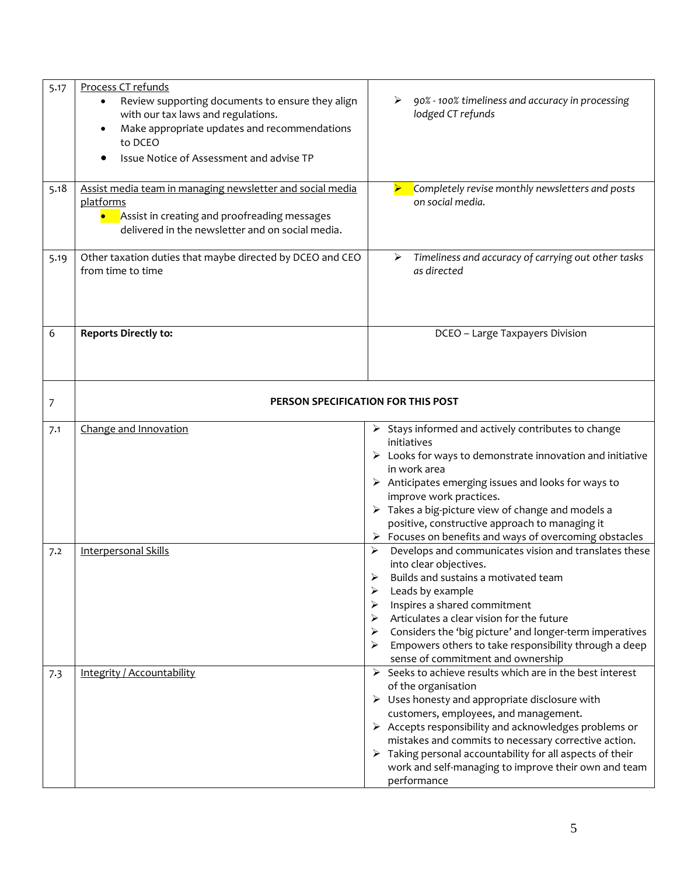| 5.17 | Process CT refunds<br>Review supporting documents to ensure they align<br>٠<br>with our tax laws and regulations.<br>Make appropriate updates and recommendations<br>$\bullet$<br>to DCEO<br>Issue Notice of Assessment and advise TP | 90% - 100% timeliness and accuracy in processing<br>➤<br>lodged CT refunds                                                                                                                                                                                                                                                                                                                                                                                                          |  |
|------|---------------------------------------------------------------------------------------------------------------------------------------------------------------------------------------------------------------------------------------|-------------------------------------------------------------------------------------------------------------------------------------------------------------------------------------------------------------------------------------------------------------------------------------------------------------------------------------------------------------------------------------------------------------------------------------------------------------------------------------|--|
| 5.18 | Assist media team in managing newsletter and social media<br>platforms<br>• Assist in creating and proofreading messages<br>delivered in the newsletter and on social media.                                                          | Completely revise monthly newsletters and posts<br>on social media.                                                                                                                                                                                                                                                                                                                                                                                                                 |  |
| 5.19 | Other taxation duties that maybe directed by DCEO and CEO<br>from time to time                                                                                                                                                        | Timeliness and accuracy of carrying out other tasks<br>⋗<br>as directed                                                                                                                                                                                                                                                                                                                                                                                                             |  |
| 6    | <b>Reports Directly to:</b>                                                                                                                                                                                                           | DCEO - Large Taxpayers Division                                                                                                                                                                                                                                                                                                                                                                                                                                                     |  |
| 7    | PERSON SPECIFICATION FOR THIS POST                                                                                                                                                                                                    |                                                                                                                                                                                                                                                                                                                                                                                                                                                                                     |  |
| 7.1  | Change and Innovation                                                                                                                                                                                                                 | $\triangleright$ Stays informed and actively contributes to change<br>initiatives<br>$\triangleright$ Looks for ways to demonstrate innovation and initiative<br>in work area<br>$\triangleright$ Anticipates emerging issues and looks for ways to<br>improve work practices.<br>$\triangleright$ Takes a big-picture view of change and models a<br>positive, constructive approach to managing it<br>Focuses on benefits and ways of overcoming obstacles<br>➤                   |  |
| 7.2  | <b>Interpersonal Skills</b>                                                                                                                                                                                                           | Develops and communicates vision and translates these<br>➤<br>into clear objectives.<br>➤<br>Builds and sustains a motivated team<br>➤<br>Leads by example<br>Inspires a shared commitment<br>➤<br>Articulates a clear vision for the future<br>⋗<br>Considers the 'big picture' and longer-term imperatives<br>➤<br>Empowers others to take responsibility through a deep<br>sense of commitment and ownership                                                                     |  |
| 7.3  | Integrity / Accountability                                                                                                                                                                                                            | Seeks to achieve results which are in the best interest<br>$\blacktriangleright$<br>of the organisation<br>$\triangleright$ Uses honesty and appropriate disclosure with<br>customers, employees, and management.<br>$\triangleright$ Accepts responsibility and acknowledges problems or<br>mistakes and commits to necessary corrective action.<br>Taking personal accountability for all aspects of their<br>work and self-managing to improve their own and team<br>performance |  |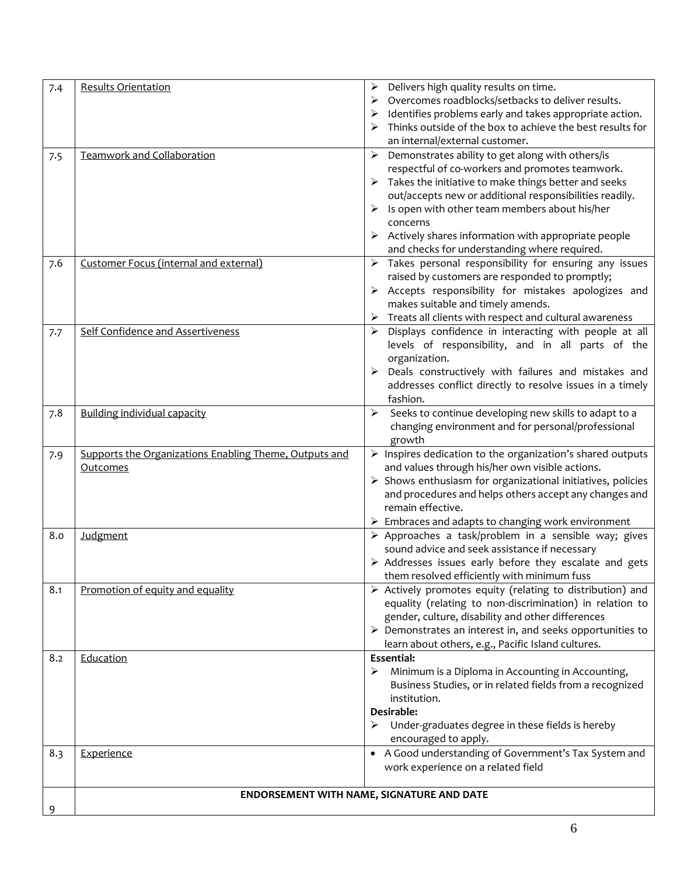| 7.4 | <b>Results Orientation</b>                             | Delivers high quality results on time.<br>➤                                                                               |
|-----|--------------------------------------------------------|---------------------------------------------------------------------------------------------------------------------------|
|     |                                                        | Overcomes roadblocks/setbacks to deliver results.<br>➤                                                                    |
|     |                                                        | Identifies problems early and takes appropriate action.                                                                   |
|     |                                                        | Thinks outside of the box to achieve the best results for                                                                 |
|     |                                                        | an internal/external customer.                                                                                            |
| 7.5 | <b>Teamwork and Collaboration</b>                      | Demonstrates ability to get along with others/is<br>$\blacktriangleright$                                                 |
|     |                                                        | respectful of co-workers and promotes teamwork.                                                                           |
|     |                                                        | Takes the initiative to make things better and seeks                                                                      |
|     |                                                        | out/accepts new or additional responsibilities readily.                                                                   |
|     |                                                        | Is open with other team members about his/her<br>➤                                                                        |
|     |                                                        | concerns                                                                                                                  |
|     |                                                        | $\triangleright$ Actively shares information with appropriate people                                                      |
|     |                                                        | and checks for understanding where required.                                                                              |
| 7.6 | Customer Focus (internal and external)                 | Takes personal responsibility for ensuring any issues<br>➤                                                                |
|     |                                                        | raised by customers are responded to promptly;                                                                            |
|     |                                                        | $\triangleright$ Accepts responsibility for mistakes apologizes and                                                       |
|     |                                                        | makes suitable and timely amends.                                                                                         |
|     |                                                        | Treats all clients with respect and cultural awareness<br>➤                                                               |
| 7.7 | Self Confidence and Assertiveness                      | Displays confidence in interacting with people at all<br>➤                                                                |
|     |                                                        | levels of responsibility, and in all parts of the                                                                         |
|     |                                                        | organization.                                                                                                             |
|     |                                                        | Deals constructively with failures and mistakes and                                                                       |
|     |                                                        | addresses conflict directly to resolve issues in a timely                                                                 |
|     |                                                        | fashion.                                                                                                                  |
| 7.8 | <b>Building individual capacity</b>                    | Seeks to continue developing new skills to adapt to a<br>➤                                                                |
|     |                                                        | changing environment and for personal/professional                                                                        |
|     |                                                        | growth                                                                                                                    |
| 7.9 | Supports the Organizations Enabling Theme, Outputs and | > Inspires dedication to the organization's shared outputs                                                                |
|     | Outcomes                                               | and values through his/her own visible actions.                                                                           |
|     |                                                        | $\triangleright$ Shows enthusiasm for organizational initiatives, policies                                                |
|     |                                                        | and procedures and helps others accept any changes and<br>remain effective.                                               |
|     |                                                        |                                                                                                                           |
| 8.0 |                                                        | $\triangleright$ Embraces and adapts to changing work environment<br>> Approaches a task/problem in a sensible way; gives |
|     | <b>Judgment</b>                                        | sound advice and seek assistance if necessary                                                                             |
|     |                                                        | $\triangleright$ Addresses issues early before they escalate and gets                                                     |
|     |                                                        | them resolved efficiently with minimum fuss                                                                               |
| 8.1 | Promotion of equity and equality                       | $\triangleright$ Actively promotes equity (relating to distribution) and                                                  |
|     |                                                        | equality (relating to non-discrimination) in relation to                                                                  |
|     |                                                        | gender, culture, disability and other differences                                                                         |
|     |                                                        | $\triangleright$ Demonstrates an interest in, and seeks opportunities to                                                  |
|     |                                                        | learn about others, e.g., Pacific Island cultures.                                                                        |
| 8.2 | Education                                              | <b>Essential:</b>                                                                                                         |
|     |                                                        | Minimum is a Diploma in Accounting in Accounting,<br>➤                                                                    |
|     |                                                        | Business Studies, or in related fields from a recognized                                                                  |
|     |                                                        | institution.                                                                                                              |
|     |                                                        | Desirable:                                                                                                                |
|     |                                                        | $\triangleright$ Under-graduates degree in these fields is hereby                                                         |
|     |                                                        | encouraged to apply.                                                                                                      |
| 8.3 | Experience                                             | • A Good understanding of Government's Tax System and                                                                     |
|     |                                                        | work experience on a related field                                                                                        |
|     |                                                        |                                                                                                                           |
|     |                                                        | ENDORSEMENT WITH NAME, SIGNATURE AND DATE                                                                                 |
| 9   |                                                        |                                                                                                                           |